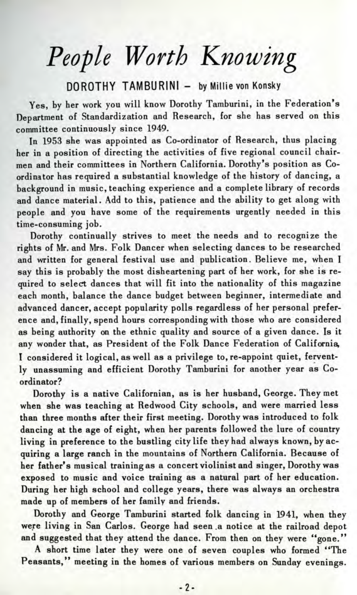## *People Worth Knowing*

## DOROTHY TAMBURINI - by Millie von Konsky

Yes, by her work you will know Dorothy Tamburini, in the Federation's Department of Standardization and Research, for she has served on this committee continuously since 1949.

In 1953 she was appointed as Co-ordinator of Research, thus placing her in a position of directing the activities of five regional council chairmen and their committees in Northern California. Dorothy's position as Coordinator has required a substantial knowledge of the history of dancing, a background in music, teaching experience and a complete library of records and dance material. Add to this, patience and the ability to get along with people and you have some of the requirements urgently needed in this time-consuming job.

Dorothy continually strives to meet the needs and to recognize the rights of Mr. and Mrs. Folk Dancer when selecting dances to be researched and written for general festival use and publication. Believe me, when I say this is probably the most disheartening part of her work, for she is required to select dances that will fit into the nationality of this magazine each month, balance the dance budget between beginner, intermediate and advanced dancer, accept popularity polls regardless of her personal preference and, finally, spend hours corresponding with those who are considered as being authority on the ethnic quality and source of a given dance. Is it any wonder that, as President of the Folk Dance Federation of California, I considered it logical, as well as a privilege to, re-appoint quiet, fervently unassuming and efficient Dorothy Tamburini for another year as Coordinator?

Dorothy is a native Californian, as is her husband, George. They met when she was teaching at Redwood City schools, and were married less than three months after their first meeting. Dorothy was introduced to folk dancing at the age of eight, when her parents followed the lure of country living in preference to the bustling city life they had always known, by acquiring a large ranch in the mountains of Northern California. Because of her father's musical training as a concert violinist and singer, Dorothy was exposed to music and voice training as a natural part of her education. During her high school and college years, there was always an orchestra made up of members of her family and friends.

Dorothy and George Tamburini started folk dancing in 1941, when they were living in San Carlos. George had seen .a notice at the railroad depot and suggested that they attend the dance. From then on they were "gone."

A short time later they were one of seven couples who formed "The Peasants," meeting in the homes of various members on Sunday evenings.